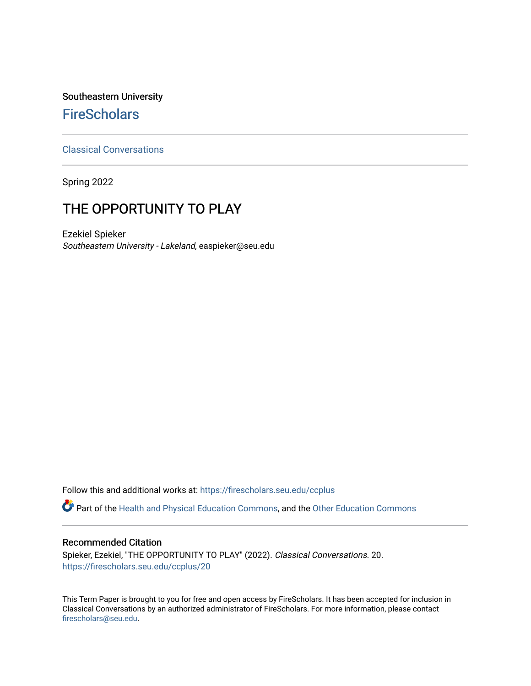## Southeastern University **FireScholars**

[Classical Conversations](https://firescholars.seu.edu/ccplus)

Spring 2022

# THE OPPORTUNITY TO PLAY

Ezekiel Spieker Southeastern University - Lakeland, easpieker@seu.edu

Follow this and additional works at: [https://firescholars.seu.edu/ccplus](https://firescholars.seu.edu/ccplus?utm_source=firescholars.seu.edu%2Fccplus%2F20&utm_medium=PDF&utm_campaign=PDFCoverPages)

Part of the [Health and Physical Education Commons](http://network.bepress.com/hgg/discipline/1327?utm_source=firescholars.seu.edu%2Fccplus%2F20&utm_medium=PDF&utm_campaign=PDFCoverPages), and the [Other Education Commons](http://network.bepress.com/hgg/discipline/811?utm_source=firescholars.seu.edu%2Fccplus%2F20&utm_medium=PDF&utm_campaign=PDFCoverPages)

### Recommended Citation

Spieker, Ezekiel, "THE OPPORTUNITY TO PLAY" (2022). Classical Conversations. 20. [https://firescholars.seu.edu/ccplus/20](https://firescholars.seu.edu/ccplus/20?utm_source=firescholars.seu.edu%2Fccplus%2F20&utm_medium=PDF&utm_campaign=PDFCoverPages) 

This Term Paper is brought to you for free and open access by FireScholars. It has been accepted for inclusion in Classical Conversations by an authorized administrator of FireScholars. For more information, please contact [firescholars@seu.edu.](mailto:firescholars@seu.edu)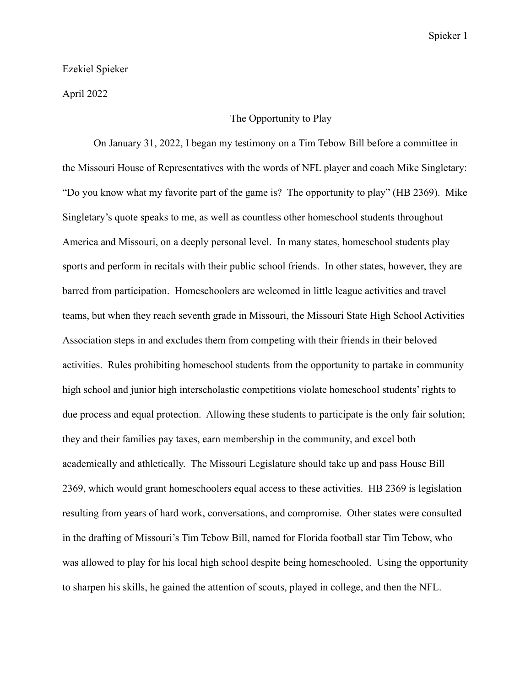### Ezekiel Spieker

April 2022

#### The Opportunity to Play

On January 31, 2022, I began my testimony on a Tim Tebow Bill before a committee in the Missouri House of Representatives with the words of NFL player and coach Mike Singletary: "Do you know what my favorite part of the game is? The opportunity to play" (HB 2369). Mike Singletary's quote speaks to me, as well as countless other homeschool students throughout America and Missouri, on a deeply personal level. In many states, homeschool students play sports and perform in recitals with their public school friends. In other states, however, they are barred from participation. Homeschoolers are welcomed in little league activities and travel teams, but when they reach seventh grade in Missouri, the Missouri State High School Activities Association steps in and excludes them from competing with their friends in their beloved activities. Rules prohibiting homeschool students from the opportunity to partake in community high school and junior high interscholastic competitions violate homeschool students' rights to due process and equal protection. Allowing these students to participate is the only fair solution; they and their families pay taxes, earn membership in the community, and excel both academically and athletically. The Missouri Legislature should take up and pass House Bill 2369, which would grant homeschoolers equal access to these activities. HB 2369 is legislation resulting from years of hard work, conversations, and compromise. Other states were consulted in the drafting of Missouri's Tim Tebow Bill, named for Florida football star Tim Tebow, who was allowed to play for his local high school despite being homeschooled. Using the opportunity to sharpen his skills, he gained the attention of scouts, played in college, and then the NFL.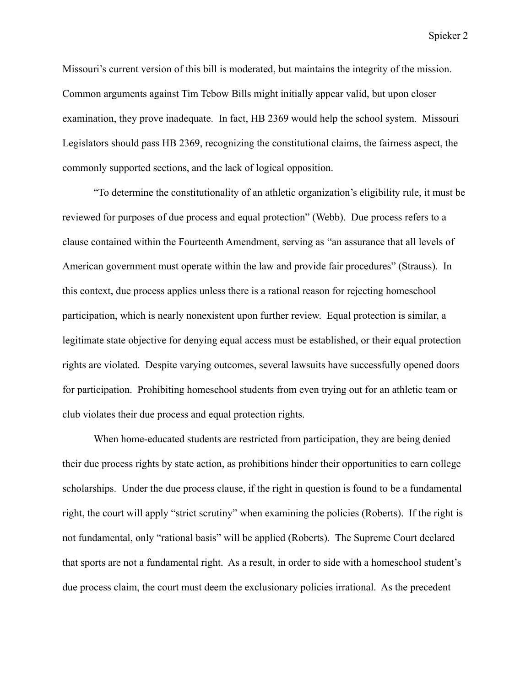Missouri's current version of this bill is moderated, but maintains the integrity of the mission. Common arguments against Tim Tebow Bills might initially appear valid, but upon closer examination, they prove inadequate. In fact, HB 2369 would help the school system. Missouri Legislators should pass HB 2369, recognizing the constitutional claims, the fairness aspect, the commonly supported sections, and the lack of logical opposition.

"To determine the constitutionality of an athletic organization's eligibility rule, it must be reviewed for purposes of due process and equal protection" (Webb). Due process refers to a clause contained within the Fourteenth Amendment, serving as "an assurance that all levels of American government must operate within the law and provide fair procedures" (Strauss). In this context, due process applies unless there is a rational reason for rejecting homeschool participation, which is nearly nonexistent upon further review. Equal protection is similar, a legitimate state objective for denying equal access must be established, or their equal protection rights are violated. Despite varying outcomes, several lawsuits have successfully opened doors for participation. Prohibiting homeschool students from even trying out for an athletic team or club violates their due process and equal protection rights.

When home-educated students are restricted from participation, they are being denied their due process rights by state action, as prohibitions hinder their opportunities to earn college scholarships. Under the due process clause, if the right in question is found to be a fundamental right, the court will apply "strict scrutiny" when examining the policies (Roberts). If the right is not fundamental, only "rational basis" will be applied (Roberts). The Supreme Court declared that sports are not a fundamental right. As a result, in order to side with a homeschool student's due process claim, the court must deem the exclusionary policies irrational. As the precedent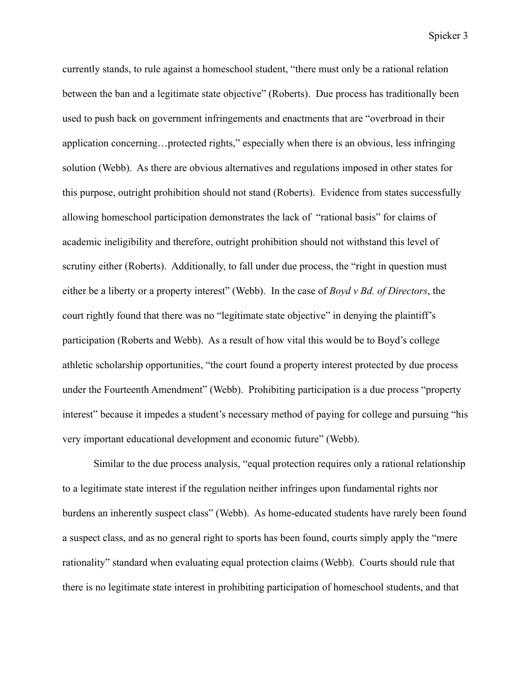currently stands, to rule against a homeschool student, "there must only be a rational relation between the ban and a legitimate state objective" (Roberts). Due process has traditionally been used to push back on government infringements and enactments that are "overbroad in their application concerning…protected rights," especially when there is an obvious, less infringing solution (Webb). As there are obvious alternatives and regulations imposed in other states for this purpose, outright prohibition should not stand (Roberts). Evidence from states successfully allowing homeschool participation demonstrates the lack of "rational basis" for claims of academic ineligibility and therefore, outright prohibition should not withstand this level of scrutiny either (Roberts). Additionally, to fall under due process, the "right in question must either be a liberty or a property interest" (Webb). In the case of *Boyd v Bd. of Directors*, the court rightly found that there was no "legitimate state objective" in denying the plaintiff's participation (Roberts and Webb). As a result of how vital this would be to Boyd's college athletic scholarship opportunities, "the court found a property interest protected by due process under the Fourteenth Amendment" (Webb). Prohibiting participation is a due process "property interest" because it impedes a student's necessary method of paying for college and pursuing "his very important educational development and economic future" (Webb).

Similar to the due process analysis, "equal protection requires only a rational relationship to a legitimate state interest if the regulation neither infringes upon fundamental rights nor burdens an inherently suspect class" (Webb). As home-educated students have rarely been found a suspect class, and as no general right to sports has been found, courts simply apply the "mere rationality" standard when evaluating equal protection claims (Webb). Courts should rule that there is no legitimate state interest in prohibiting participation of homeschool students, and that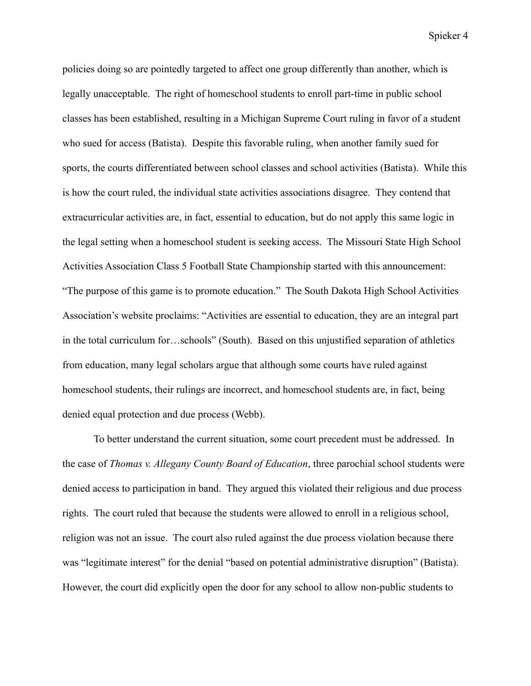policies doing so are pointedly targeted to affect one group differently than another, which is legally unacceptable. The right of homeschool students to enroll part-time in public school classes has been established, resulting in a Michigan Supreme Court ruling in favor of a student who sued for access (Batista). Despite this favorable ruling, when another family sued for sports, the courts differentiated between school classes and school activities (Batista). While this is how the court ruled, the individual state activities associations disagree. They contend that extracurricular activities are, in fact, essential to education, but do not apply this same logic in the legal setting when a homeschool student is seeking access. The Missouri State High School Activities Association Class 5 Football State Championship started with this announcement: "The purpose of this game is to promote education." The South Dakota High School Activities Association's website proclaims: "Activities are essential to education, they are an integral part in the total curriculum for…schools" (South). Based on this unjustified separation of athletics from education, many legal scholars argue that although some courts have ruled against homeschool students, their rulings are incorrect, and homeschool students are, in fact, being denied equal protection and due process (Webb).

To better understand the current situation, some court precedent must be addressed. In the case of *Thomas v. Allegany County Board of Education*, three parochial school students were denied access to participation in band. They argued this violated their religious and due process rights. The court ruled that because the students were allowed to enroll in a religious school, religion was not an issue. The court also ruled against the due process violation because there was "legitimate interest" for the denial "based on potential administrative disruption" (Batista). However, the court did explicitly open the door for any school to allow non-public students to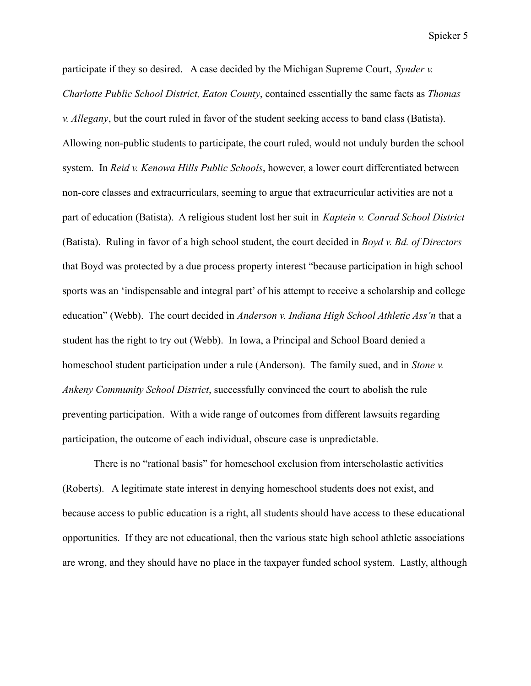participate if they so desired. A case decided by the Michigan Supreme Court, *Synder v. Charlotte Public School District, Eaton County*, contained essentially the same facts as *Thomas v. Allegany*, but the court ruled in favor of the student seeking access to band class (Batista). Allowing non-public students to participate, the court ruled, would not unduly burden the school system. In *Reid v. Kenowa Hills Public Schools*, however, a lower court differentiated between non-core classes and extracurriculars, seeming to argue that extracurricular activities are not a part of education (Batista). A religious student lost her suit in *Kaptein v. Conrad School District* (Batista). Ruling in favor of a high school student, the court decided in *Boyd v. Bd. of Directors* that Boyd was protected by a due process property interest "because participation in high school sports was an 'indispensable and integral part' of his attempt to receive a scholarship and college education" (Webb). The court decided in *Anderson v. Indiana High School Athletic Ass'n* that a student has the right to try out (Webb). In Iowa, a Principal and School Board denied a homeschool student participation under a rule (Anderson). The family sued, and in *Stone v. Ankeny Community School District*, successfully convinced the court to abolish the rule preventing participation. With a wide range of outcomes from different lawsuits regarding participation, the outcome of each individual, obscure case is unpredictable.

There is no "rational basis" for homeschool exclusion from interscholastic activities (Roberts). A legitimate state interest in denying homeschool students does not exist, and because access to public education is a right, all students should have access to these educational opportunities. If they are not educational, then the various state high school athletic associations are wrong, and they should have no place in the taxpayer funded school system. Lastly, although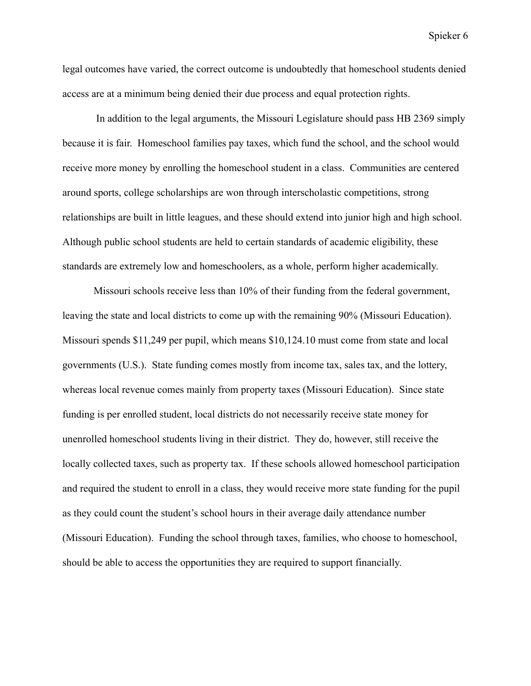legal outcomes have varied, the correct outcome is undoubtedly that homeschool students denied access are at a minimum being denied their due process and equal protection rights.

In addition to the legal arguments, the Missouri Legislature should pass HB 2369 simply because it is fair. Homeschool families pay taxes, which fund the school, and the school would receive more money by enrolling the homeschool student in a class. Communities are centered around sports, college scholarships are won through interscholastic competitions, strong relationships are built in little leagues, and these should extend into junior high and high school. Although public school students are held to certain standards of academic eligibility, these standards are extremely low and homeschoolers, as a whole, perform higher academically.

Missouri schools receive less than 10% of their funding from the federal government, leaving the state and local districts to come up with the remaining 90% (Missouri Education). Missouri spends \$11,249 per pupil, which means \$10,124.10 must come from state and local governments (U.S.). State funding comes mostly from income tax, sales tax, and the lottery, whereas local revenue comes mainly from property taxes (Missouri Education). Since state funding is per enrolled student, local districts do not necessarily receive state money for unenrolled homeschool students living in their district. They do, however, still receive the locally collected taxes, such as property tax. If these schools allowed homeschool participation and required the student to enroll in a class, they would receive more state funding for the pupil as they could count the student's school hours in their average daily attendance number (Missouri Education). Funding the school through taxes, families, who choose to homeschool, should be able to access the opportunities they are required to support financially.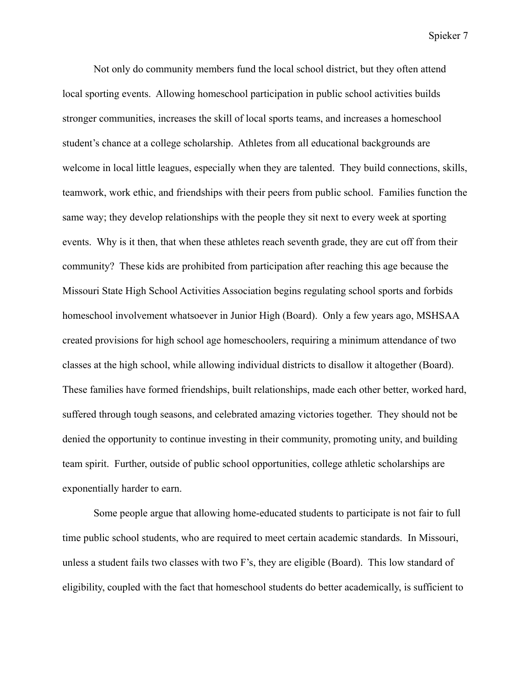Not only do community members fund the local school district, but they often attend local sporting events. Allowing homeschool participation in public school activities builds stronger communities, increases the skill of local sports teams, and increases a homeschool student's chance at a college scholarship. Athletes from all educational backgrounds are welcome in local little leagues, especially when they are talented. They build connections, skills, teamwork, work ethic, and friendships with their peers from public school. Families function the same way; they develop relationships with the people they sit next to every week at sporting events. Why is it then, that when these athletes reach seventh grade, they are cut off from their community? These kids are prohibited from participation after reaching this age because the Missouri State High School Activities Association begins regulating school sports and forbids homeschool involvement whatsoever in Junior High (Board). Only a few years ago, MSHSAA created provisions for high school age homeschoolers, requiring a minimum attendance of two classes at the high school, while allowing individual districts to disallow it altogether (Board). These families have formed friendships, built relationships, made each other better, worked hard, suffered through tough seasons, and celebrated amazing victories together. They should not be denied the opportunity to continue investing in their community, promoting unity, and building team spirit. Further, outside of public school opportunities, college athletic scholarships are exponentially harder to earn.

Some people argue that allowing home-educated students to participate is not fair to full time public school students, who are required to meet certain academic standards. In Missouri, unless a student fails two classes with two F's, they are eligible (Board). This low standard of eligibility, coupled with the fact that homeschool students do better academically, is sufficient to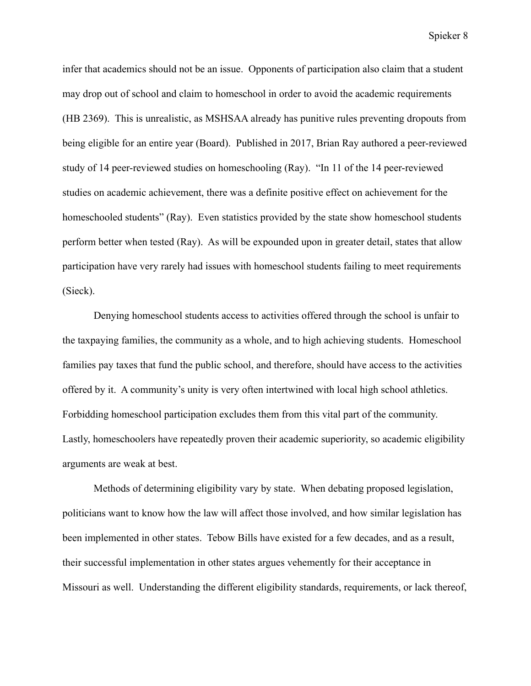infer that academics should not be an issue. Opponents of participation also claim that a student may drop out of school and claim to homeschool in order to avoid the academic requirements (HB 2369). This is unrealistic, as MSHSAA already has punitive rules preventing dropouts from being eligible for an entire year (Board). Published in 2017, Brian Ray authored a peer-reviewed study of 14 peer-reviewed studies on homeschooling (Ray). "In 11 of the 14 peer-reviewed studies on academic achievement, there was a definite positive effect on achievement for the homeschooled students" (Ray). Even statistics provided by the state show homeschool students perform better when tested (Ray). As will be expounded upon in greater detail, states that allow participation have very rarely had issues with homeschool students failing to meet requirements (Sieck).

Denying homeschool students access to activities offered through the school is unfair to the taxpaying families, the community as a whole, and to high achieving students. Homeschool families pay taxes that fund the public school, and therefore, should have access to the activities offered by it. A community's unity is very often intertwined with local high school athletics. Forbidding homeschool participation excludes them from this vital part of the community. Lastly, homeschoolers have repeatedly proven their academic superiority, so academic eligibility arguments are weak at best.

Methods of determining eligibility vary by state. When debating proposed legislation, politicians want to know how the law will affect those involved, and how similar legislation has been implemented in other states. Tebow Bills have existed for a few decades, and as a result, their successful implementation in other states argues vehemently for their acceptance in Missouri as well. Understanding the different eligibility standards, requirements, or lack thereof,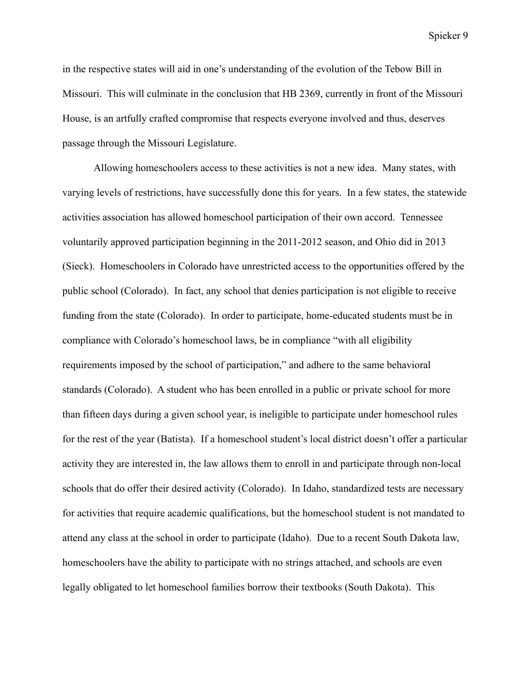in the respective states will aid in one's understanding of the evolution of the Tebow Bill in Missouri. This will culminate in the conclusion that HB 2369, currently in front of the Missouri House, is an artfully crafted compromise that respects everyone involved and thus, deserves passage through the Missouri Legislature.

Allowing homeschoolers access to these activities is not a new idea. Many states, with varying levels of restrictions, have successfully done this for years. In a few states, the statewide activities association has allowed homeschool participation of their own accord. Tennessee voluntarily approved participation beginning in the 2011-2012 season, and Ohio did in 2013 (Sieck). Homeschoolers in Colorado have unrestricted access to the opportunities offered by the public school (Colorado). In fact, any school that denies participation is not eligible to receive funding from the state (Colorado). In order to participate, home-educated students must be in compliance with Colorado's homeschool laws, be in compliance "with all eligibility requirements imposed by the school of participation," and adhere to the same behavioral standards (Colorado). A student who has been enrolled in a public or private school for more than fifteen days during a given school year, is ineligible to participate under homeschool rules for the rest of the year (Batista). If a homeschool student's local district doesn't offer a particular activity they are interested in, the law allows them to enroll in and participate through non-local schools that do offer their desired activity (Colorado). In Idaho, standardized tests are necessary for activities that require academic qualifications, but the homeschool student is not mandated to attend any class at the school in order to participate (Idaho). Due to a recent South Dakota law, homeschoolers have the ability to participate with no strings attached, and schools are even legally obligated to let homeschool families borrow their textbooks (South Dakota). This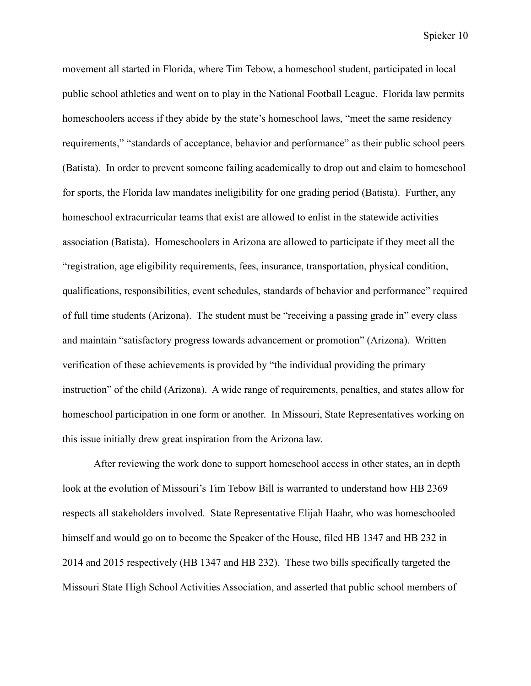movement all started in Florida, where Tim Tebow, a homeschool student, participated in local public school athletics and went on to play in the National Football League. Florida law permits homeschoolers access if they abide by the state's homeschool laws, "meet the same residency requirements," "standards of acceptance, behavior and performance" as their public school peers (Batista). In order to prevent someone failing academically to drop out and claim to homeschool for sports, the Florida law mandates ineligibility for one grading period (Batista). Further, any homeschool extracurricular teams that exist are allowed to enlist in the statewide activities association (Batista). Homeschoolers in Arizona are allowed to participate if they meet all the "registration, age eligibility requirements, fees, insurance, transportation, physical condition, qualifications, responsibilities, event schedules, standards of behavior and performance" required of full time students (Arizona). The student must be "receiving a passing grade in" every class and maintain "satisfactory progress towards advancement or promotion" (Arizona). Written verification of these achievements is provided by "the individual providing the primary instruction" of the child (Arizona). A wide range of requirements, penalties, and states allow for homeschool participation in one form or another. In Missouri, State Representatives working on this issue initially drew great inspiration from the Arizona law.

After reviewing the work done to support homeschool access in other states, an in depth look at the evolution of Missouri's Tim Tebow Bill is warranted to understand how HB 2369 respects all stakeholders involved. State Representative Elijah Haahr, who was homeschooled himself and would go on to become the Speaker of the House, filed HB 1347 and HB 232 in 2014 and 2015 respectively (HB 1347 and HB 232). These two bills specifically targeted the Missouri State High School Activities Association, and asserted that public school members of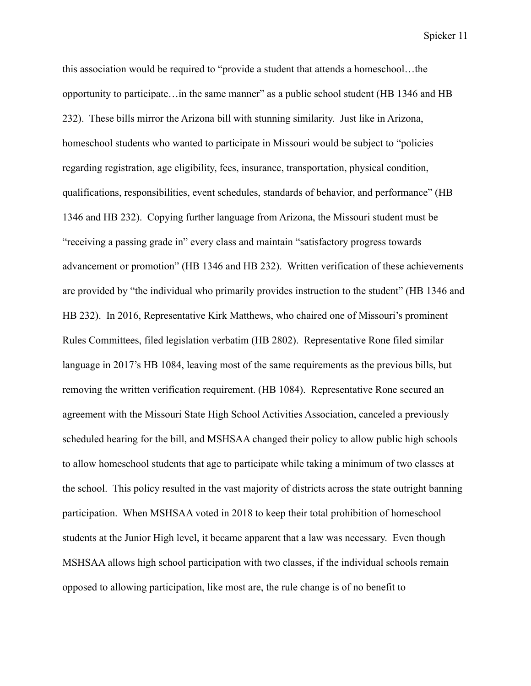this association would be required to "provide a student that attends a homeschool…the opportunity to participate…in the same manner" as a public school student (HB 1346 and HB 232). These bills mirror the Arizona bill with stunning similarity. Just like in Arizona, homeschool students who wanted to participate in Missouri would be subject to "policies regarding registration, age eligibility, fees, insurance, transportation, physical condition, qualifications, responsibilities, event schedules, standards of behavior, and performance" (HB 1346 and HB 232). Copying further language from Arizona, the Missouri student must be "receiving a passing grade in" every class and maintain "satisfactory progress towards advancement or promotion" (HB 1346 and HB 232). Written verification of these achievements are provided by "the individual who primarily provides instruction to the student" (HB 1346 and HB 232). In 2016, Representative Kirk Matthews, who chaired one of Missouri's prominent Rules Committees, filed legislation verbatim (HB 2802). Representative Rone filed similar language in 2017's HB 1084, leaving most of the same requirements as the previous bills, but removing the written verification requirement. (HB 1084). Representative Rone secured an agreement with the Missouri State High School Activities Association, canceled a previously scheduled hearing for the bill, and MSHSAA changed their policy to allow public high schools to allow homeschool students that age to participate while taking a minimum of two classes at the school. This policy resulted in the vast majority of districts across the state outright banning participation. When MSHSAA voted in 2018 to keep their total prohibition of homeschool students at the Junior High level, it became apparent that a law was necessary. Even though MSHSAA allows high school participation with two classes, if the individual schools remain opposed to allowing participation, like most are, the rule change is of no benefit to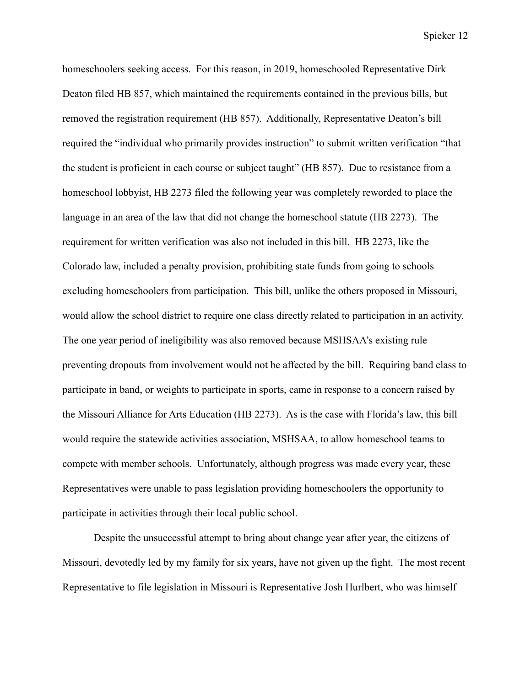homeschoolers seeking access. For this reason, in 2019, homeschooled Representative Dirk Deaton filed HB 857, which maintained the requirements contained in the previous bills, but removed the registration requirement (HB 857). Additionally, Representative Deaton's bill required the "individual who primarily provides instruction" to submit written verification "that the student is proficient in each course or subject taught" (HB 857). Due to resistance from a homeschool lobbyist, HB 2273 filed the following year was completely reworded to place the language in an area of the law that did not change the homeschool statute (HB 2273). The requirement for written verification was also not included in this bill. HB 2273, like the Colorado law, included a penalty provision, prohibiting state funds from going to schools excluding homeschoolers from participation. This bill, unlike the others proposed in Missouri, would allow the school district to require one class directly related to participation in an activity. The one year period of ineligibility was also removed because MSHSAA's existing rule preventing dropouts from involvement would not be affected by the bill. Requiring band class to participate in band, or weights to participate in sports, came in response to a concern raised by the Missouri Alliance for Arts Education (HB 2273). As is the case with Florida's law, this bill would require the statewide activities association, MSHSAA, to allow homeschool teams to compete with member schools. Unfortunately, although progress was made every year, these Representatives were unable to pass legislation providing homeschoolers the opportunity to participate in activities through their local public school.

Despite the unsuccessful attempt to bring about change year after year, the citizens of Missouri, devotedly led by my family for six years, have not given up the fight. The most recent Representative to file legislation in Missouri is Representative Josh Hurlbert, who was himself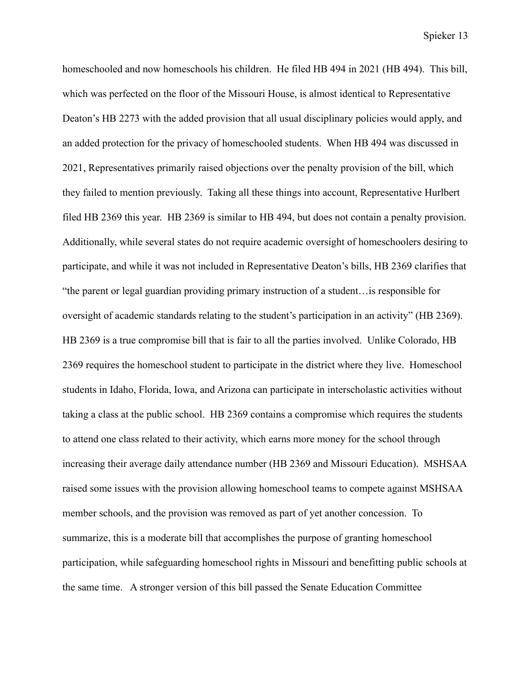homeschooled and now homeschools his children. He filed HB 494 in 2021 (HB 494). This bill, which was perfected on the floor of the Missouri House, is almost identical to Representative Deaton's HB 2273 with the added provision that all usual disciplinary policies would apply, and an added protection for the privacy of homeschooled students. When HB 494 was discussed in 2021, Representatives primarily raised objections over the penalty provision of the bill, which they failed to mention previously. Taking all these things into account, Representative Hurlbert filed HB 2369 this year. HB 2369 is similar to HB 494, but does not contain a penalty provision. Additionally, while several states do not require academic oversight of homeschoolers desiring to participate, and while it was not included in Representative Deaton's bills, HB 2369 clarifies that "the parent or legal guardian providing primary instruction of a student…is responsible for oversight of academic standards relating to the student's participation in an activity" (HB 2369). HB 2369 is a true compromise bill that is fair to all the parties involved. Unlike Colorado, HB 2369 requires the homeschool student to participate in the district where they live. Homeschool students in Idaho, Florida, Iowa, and Arizona can participate in interscholastic activities without taking a class at the public school. HB 2369 contains a compromise which requires the students to attend one class related to their activity, which earns more money for the school through increasing their average daily attendance number (HB 2369 and Missouri Education). MSHSAA raised some issues with the provision allowing homeschool teams to compete against MSHSAA member schools, and the provision was removed as part of yet another concession. To summarize, this is a moderate bill that accomplishes the purpose of granting homeschool participation, while safeguarding homeschool rights in Missouri and benefitting public schools at the same time. A stronger version of this bill passed the Senate Education Committee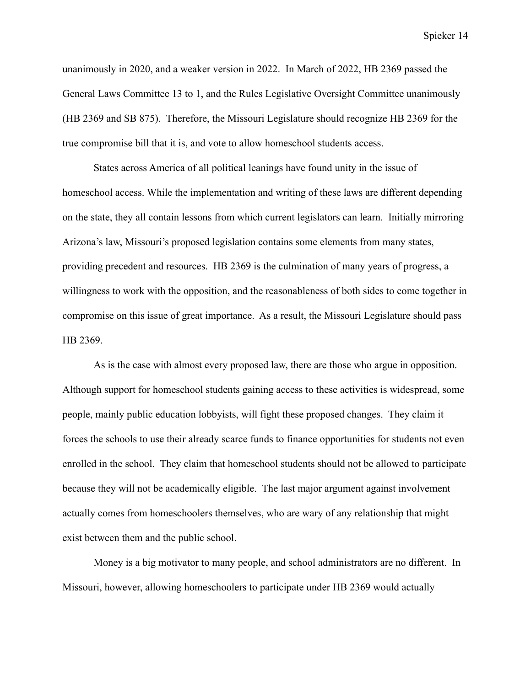unanimously in 2020, and a weaker version in 2022. In March of 2022, HB 2369 passed the General Laws Committee 13 to 1, and the Rules Legislative Oversight Committee unanimously (HB 2369 and SB 875). Therefore, the Missouri Legislature should recognize HB 2369 for the true compromise bill that it is, and vote to allow homeschool students access.

States across America of all political leanings have found unity in the issue of homeschool access. While the implementation and writing of these laws are different depending on the state, they all contain lessons from which current legislators can learn. Initially mirroring Arizona's law, Missouri's proposed legislation contains some elements from many states, providing precedent and resources. HB 2369 is the culmination of many years of progress, a willingness to work with the opposition, and the reasonableness of both sides to come together in compromise on this issue of great importance. As a result, the Missouri Legislature should pass HB 2369.

As is the case with almost every proposed law, there are those who argue in opposition. Although support for homeschool students gaining access to these activities is widespread, some people, mainly public education lobbyists, will fight these proposed changes. They claim it forces the schools to use their already scarce funds to finance opportunities for students not even enrolled in the school. They claim that homeschool students should not be allowed to participate because they will not be academically eligible. The last major argument against involvement actually comes from homeschoolers themselves, who are wary of any relationship that might exist between them and the public school.

Money is a big motivator to many people, and school administrators are no different. In Missouri, however, allowing homeschoolers to participate under HB 2369 would actually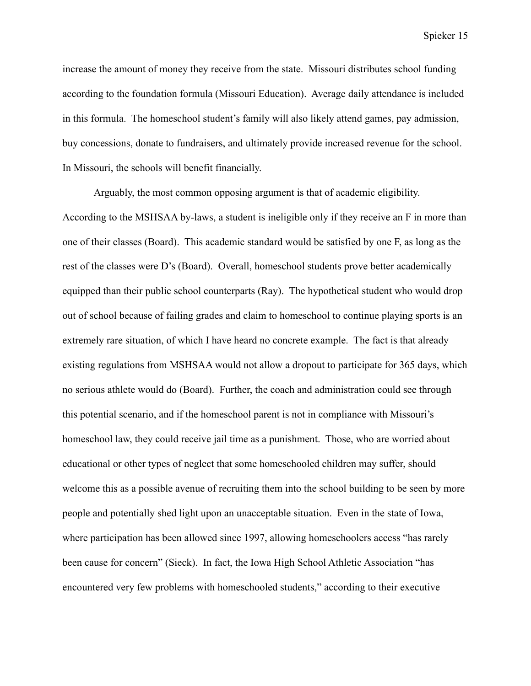increase the amount of money they receive from the state. Missouri distributes school funding according to the foundation formula (Missouri Education). Average daily attendance is included in this formula. The homeschool student's family will also likely attend games, pay admission, buy concessions, donate to fundraisers, and ultimately provide increased revenue for the school. In Missouri, the schools will benefit financially.

Arguably, the most common opposing argument is that of academic eligibility. According to the MSHSAA by-laws, a student is ineligible only if they receive an F in more than one of their classes (Board). This academic standard would be satisfied by one F, as long as the rest of the classes were D's (Board). Overall, homeschool students prove better academically equipped than their public school counterparts (Ray). The hypothetical student who would drop out of school because of failing grades and claim to homeschool to continue playing sports is an extremely rare situation, of which I have heard no concrete example. The fact is that already existing regulations from MSHSAA would not allow a dropout to participate for 365 days, which no serious athlete would do (Board). Further, the coach and administration could see through this potential scenario, and if the homeschool parent is not in compliance with Missouri's homeschool law, they could receive jail time as a punishment. Those, who are worried about educational or other types of neglect that some homeschooled children may suffer, should welcome this as a possible avenue of recruiting them into the school building to be seen by more people and potentially shed light upon an unacceptable situation. Even in the state of Iowa, where participation has been allowed since 1997, allowing homeschoolers access "has rarely been cause for concern" (Sieck). In fact, the Iowa High School Athletic Association "has encountered very few problems with homeschooled students," according to their executive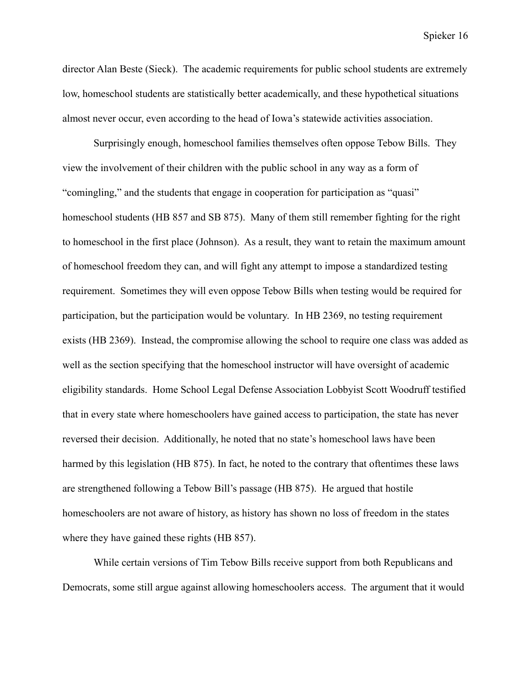director Alan Beste (Sieck). The academic requirements for public school students are extremely low, homeschool students are statistically better academically, and these hypothetical situations almost never occur, even according to the head of Iowa's statewide activities association.

Surprisingly enough, homeschool families themselves often oppose Tebow Bills. They view the involvement of their children with the public school in any way as a form of "comingling," and the students that engage in cooperation for participation as "quasi" homeschool students (HB 857 and SB 875). Many of them still remember fighting for the right to homeschool in the first place (Johnson). As a result, they want to retain the maximum amount of homeschool freedom they can, and will fight any attempt to impose a standardized testing requirement. Sometimes they will even oppose Tebow Bills when testing would be required for participation, but the participation would be voluntary. In HB 2369, no testing requirement exists (HB 2369). Instead, the compromise allowing the school to require one class was added as well as the section specifying that the homeschool instructor will have oversight of academic eligibility standards. Home School Legal Defense Association Lobbyist Scott Woodruff testified that in every state where homeschoolers have gained access to participation, the state has never reversed their decision. Additionally, he noted that no state's homeschool laws have been harmed by this legislation (HB 875). In fact, he noted to the contrary that oftentimes these laws are strengthened following a Tebow Bill's passage (HB 875). He argued that hostile homeschoolers are not aware of history, as history has shown no loss of freedom in the states where they have gained these rights (HB 857).

While certain versions of Tim Tebow Bills receive support from both Republicans and Democrats, some still argue against allowing homeschoolers access. The argument that it would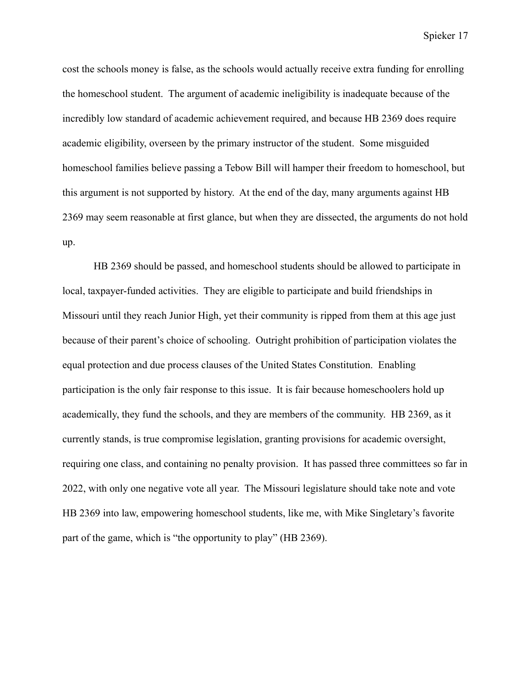cost the schools money is false, as the schools would actually receive extra funding for enrolling the homeschool student. The argument of academic ineligibility is inadequate because of the incredibly low standard of academic achievement required, and because HB 2369 does require academic eligibility, overseen by the primary instructor of the student. Some misguided homeschool families believe passing a Tebow Bill will hamper their freedom to homeschool, but this argument is not supported by history. At the end of the day, many arguments against HB 2369 may seem reasonable at first glance, but when they are dissected, the arguments do not hold up.

HB 2369 should be passed, and homeschool students should be allowed to participate in local, taxpayer-funded activities. They are eligible to participate and build friendships in Missouri until they reach Junior High, yet their community is ripped from them at this age just because of their parent's choice of schooling. Outright prohibition of participation violates the equal protection and due process clauses of the United States Constitution. Enabling participation is the only fair response to this issue. It is fair because homeschoolers hold up academically, they fund the schools, and they are members of the community. HB 2369, as it currently stands, is true compromise legislation, granting provisions for academic oversight, requiring one class, and containing no penalty provision. It has passed three committees so far in 2022, with only one negative vote all year. The Missouri legislature should take note and vote HB 2369 into law, empowering homeschool students, like me, with Mike Singletary's favorite part of the game, which is "the opportunity to play" (HB 2369).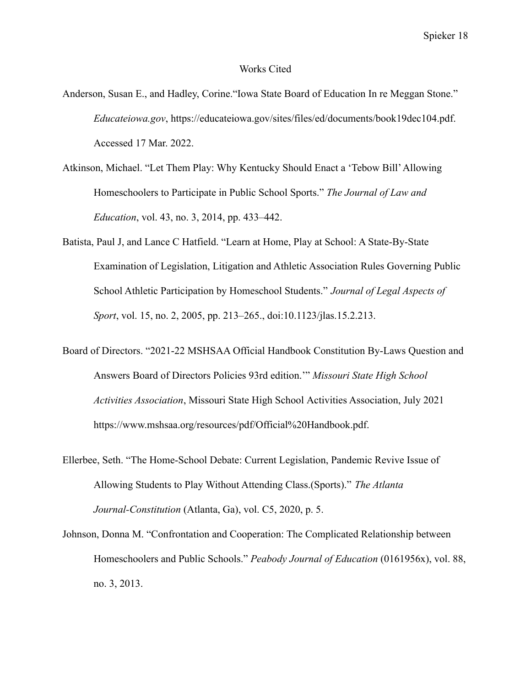#### Works Cited

- Anderson, Susan E., and Hadley, Corine."Iowa State Board of Education In re Meggan Stone." *Educateiowa.gov*, [https://educateiowa.gov/sites/files/ed/documents/book19dec104.pdf.](https://educateiowa.gov/sites/files/ed/documents/book19dec104.pdf) Accessed 17 Mar. 2022.
- Atkinson, Michael. "Let Them Play: Why Kentucky Should Enact a 'Tebow Bill'Allowing Homeschoolers to Participate in Public School Sports." *The Journal of Law and Education*, vol. 43, no. 3, 2014, pp. 433–442.
- Batista, Paul J, and Lance C Hatfield. "Learn at Home, Play at School: A State-By-State Examination of Legislation, Litigation and Athletic Association Rules Governing Public School Athletic Participation by Homeschool Students." *Journal of Legal Aspects of Sport*, vol. 15, no. 2, 2005, pp. 213–265., doi:10.1123/jlas.15.2.213.
- Board of Directors. "2021-22 MSHSAA Official Handbook Constitution By-Laws Question and Answers Board of Directors Policies 93rd edition.'" *Missouri State High School Activities Association*, Missouri State High School Activities Association, July 2021 https://www.mshsaa.org/resources/pdf/Official%20Handbook.pdf.
- Ellerbee, Seth. "The Home-School Debate: Current Legislation, Pandemic Revive Issue of Allowing Students to Play Without Attending Class.(Sports)." *The Atlanta Journal-Constitution* (Atlanta, Ga), vol. C5, 2020, p. 5.
- Johnson, Donna M. "Confrontation and Cooperation: The Complicated Relationship between Homeschoolers and Public Schools." *Peabody Journal of Education* (0161956x), vol. 88, no. 3, 2013.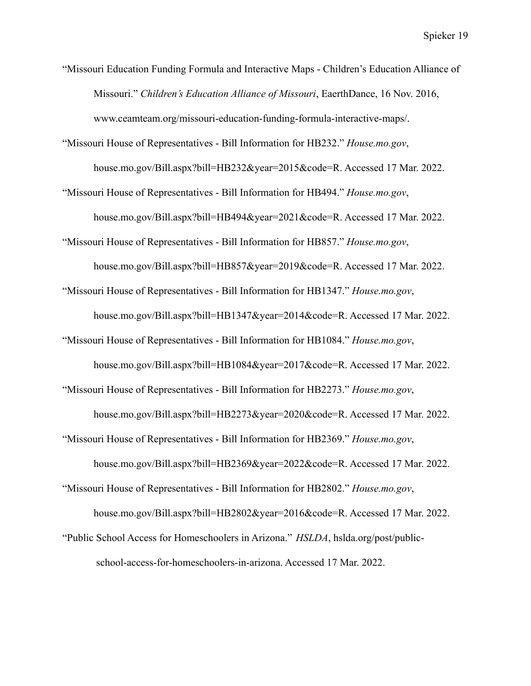"Missouri Education Funding Formula and Interactive Maps - Children's Education Alliance of Missouri." *Children's Education Alliance of Missouri*, EaerthDance, 16 Nov. 2016, [www.ceamteam.org/missouri-education-funding-formula-interactive-maps/.](http://www.ceamteam.org/missouri-education-funding-formula-interactive-maps/)

"Missouri House of Representatives - Bill Information for HB232." *House.mo.gov*, house.mo.gov/Bill.aspx?bill=HB232&year=2015&code=R. Accessed 17 Mar. 2022.

"Missouri House of Representatives - Bill Information for HB494." *House.mo.gov*,

house.mo.gov/Bill.aspx?bill=HB494&year=2021&code=R. Accessed 17 Mar. 2022.

"Missouri House of Representatives - Bill Information for HB857." *House.mo.gov*,

house.mo.gov/Bill.aspx?bill=HB857&year=2019&code=R. Accessed 17 Mar. 2022.

"Missouri House of Representatives - Bill Information for HB1347." *House.mo.gov*,

house.mo.gov/Bill.aspx?bill=HB1347&year=2014&code=R. Accessed 17 Mar. 2022.

"Missouri House of Representatives - Bill Information for HB1084." *House.mo.gov*,

house.mo.gov/Bill.aspx?bill=HB1084&year=2017&code=R. Accessed 17 Mar. 2022.

"Missouri House of Representatives - Bill Information for HB2273." *House.mo.gov*,

house.mo.gov/Bill.aspx?bill=HB2273&year=2020&code=R. Accessed 17 Mar. 2022.

"Missouri House of Representatives - Bill Information for HB2369." *House.mo.gov*,

house.mo.gov/Bill.aspx?bill=HB2369&year=2022&code=R. Accessed 17 Mar. 2022.

"Missouri House of Representatives - Bill Information for HB2802." *House.mo.gov*,

house.mo.gov/Bill.aspx?bill=HB2802&year=2016&code=R. Accessed 17 Mar. 2022.

"Public School Access for Homeschoolers in Arizona." *HSLDA*, hslda.org/post/publicschool-access-for-homeschoolers-in-arizona. Accessed 17 Mar. 2022.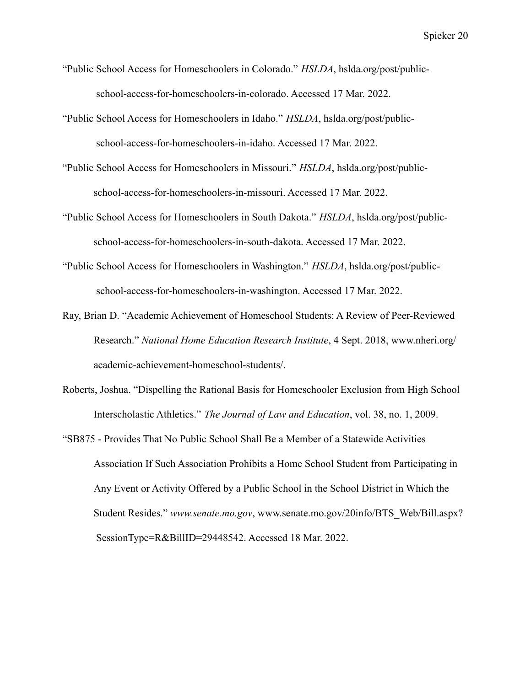- "Public School Access for Homeschoolers in Colorado." *HSLDA*, hslda.org/post/publicschool-access-for-homeschoolers-in-colorado. Accessed 17 Mar. 2022.
- "Public School Access for Homeschoolers in Idaho." *HSLDA*, hslda.org/post/publicschool-access-for-homeschoolers-in-idaho. Accessed 17 Mar. 2022.
- "Public School Access for Homeschoolers in Missouri." *HSLDA*, hslda.org/post/publicschool-access-for-homeschoolers-in-missouri. Accessed 17 Mar. 2022.
- "Public School Access for Homeschoolers in South Dakota." *HSLDA*, hslda.org/post/publicschool-access-for-homeschoolers-in-south-dakota. Accessed 17 Mar. 2022.
- "Public School Access for Homeschoolers in Washington." *HSLDA*, hslda.org/post/publicschool-access-for-homeschoolers-in-washington. Accessed 17 Mar. 2022.
- Ray, Brian D. "Academic Achievement of Homeschool Students: A Review of Peer-Reviewed Research." *National Home Education Research Institute*, 4 Sept. 2018, [www.nheri.org/](http://www.nheri.org/) academic-achievement-homeschool-students/.
- Roberts, Joshua. "Dispelling the Rational Basis for Homeschooler Exclusion from High School Interscholastic Athletics." *The Journal of Law and Education*, vol. 38, no. 1, 2009.
- "SB875 Provides That No Public School Shall Be a Member of a Statewide Activities Association If Such Association Prohibits a Home School Student from Participating in Any Event or Activity Offered by a Public School in the School District in Which the Student Resides." *www.senate.mo.gov*, [www.senate.mo.gov/20info/BTS\\_Web/Bill.aspx?](http://www.senate.mo.gov/20info/BTS_Web/Bill.aspx) SessionType=R&BillID=29448542. Accessed 18 Mar. 2022.